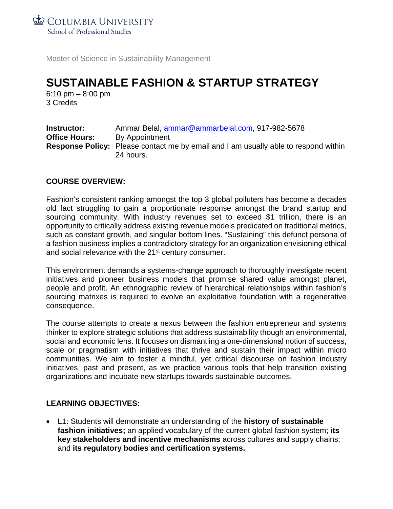**COLUMBIA UNIVERSITY** 

School of Professional Studies

Master of Science in Sustainability Management

# **SUSTAINABLE FASHION & STARTUP STRATEGY**

6:10 pm – 8:00 pm 3 Credits

| <b>Instructor:</b>   | Ammar Belal, ammar@ammarbelal.com, 917-982-5678                                                         |
|----------------------|---------------------------------------------------------------------------------------------------------|
| <b>Office Hours:</b> | By Appointment                                                                                          |
|                      | <b>Response Policy:</b> Please contact me by email and I am usually able to respond within<br>24 hours. |

# **COURSE OVERVIEW:**

Fashion's consistent ranking amongst the top 3 global polluters has become a decades old fact struggling to gain a proportionate response amongst the brand startup and sourcing community. With industry revenues set to exceed \$1 trillion, there is an opportunity to critically address existing revenue models predicated on traditional metrics, such as constant growth, and singular bottom lines. "Sustaining" this defunct persona of a fashion business implies a contradictory strategy for an organization envisioning ethical and social relevance with the 21<sup>st</sup> century consumer.

This environment demands a systems-change approach to thoroughly investigate recent initiatives and pioneer business models that promise shared value amongst planet, people and profit. An ethnographic review of hierarchical relationships within fashion's sourcing matrixes is required to evolve an exploitative foundation with a regenerative consequence.

The course attempts to create a nexus between the fashion entrepreneur and systems thinker to explore strategic solutions that address sustainability though an environmental, social and economic lens. It focuses on dismantling a one-dimensional notion of success, scale or pragmatism with initiatives that thrive and sustain their impact within micro communities. We aim to foster a mindful, yet critical discourse on fashion industry initiatives, past and present, as we practice various tools that help transition existing organizations and incubate new startups towards sustainable outcomes.

# **LEARNING OBJECTIVES:**

• L1: Students will demonstrate an understanding of the **history of sustainable fashion initiatives;** an applied vocabulary of the current global fashion system; **its key stakeholders and incentive mechanisms** across cultures and supply chains; and **its regulatory bodies and certification systems.**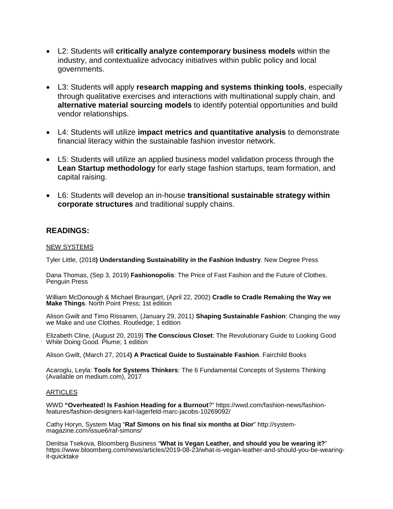- L2: Students will **critically analyze contemporary business models** within the industry, and contextualize advocacy initiatives within public policy and local governments.
- L3: Students will apply **research mapping and systems thinking tools**, especially through qualitative exercises and interactions with multinational supply chain, and **alternative material sourcing models** to identify potential opportunities and build vendor relationships.
- L4: Students will utilize **impact metrics and quantitative analysis** to demonstrate financial literacy within the sustainable fashion investor network.
- L5: Students will utilize an applied business model validation process through the **Lean Startup methodology** for early stage fashion startups, team formation, and capital raising.
- L6: Students will develop an in-house **transitional sustainable strategy within corporate structures** and traditional supply chains.

### **READINGS:**

### NEW SYSTEMS

Tyler Little, (2018**) Understanding Sustainability in the Fashion Industry**. New Degree Press

Dana Thomas, (Sep 3, 2019) **Fashionopolis**: The Price of Fast Fashion and the Future of Clothes. Penguin Press

William McDonough & Michael Braungart, (April 22, 2002) **Cradle to Cradle Remaking the Way we Make Things**. North Point Press; 1st edition

Alison Gwilt and Timo Rissanen, (January 29, 2011) **Shaping Sustainable Fashion**: Changing the way we Make and use Clothes. Routledge; 1 edition

Elizabeth Cline, (August 20, 2019) **The Conscious Closet**: The Revolutionary Guide to Looking Good While Doing Good. Plume; 1 edition

Alison Gwilt, (March 27, 2014**) A Practical Guide to Sustainable Fashion**. Fairchild Books

Acaroglu, Leyla: **Tools for Systems Thinkers**: The 6 Fundamental Concepts of Systems Thinking (Available on medium.com), 2017

### **ARTICLES**

WWD **"Overheated! Is Fashion Heading for a Burnout**?" [https://wwd.com/fashion-news/fashion](https://wwd.com/fashion-news/fashion-features/fashion-designers-karl-lagerfeld-marc-jacobs-10269092/)[features/fashion-designers-karl-lagerfeld-marc-jacobs-10269092/](https://wwd.com/fashion-news/fashion-features/fashion-designers-karl-lagerfeld-marc-jacobs-10269092/)

Cathy Horyn, System Mag "**Raf Simons on his final six months at Dior**" [http://system](http://system-magazine.com/issue6/raf-simons/)[magazine.com/issue6/raf-simons/](http://system-magazine.com/issue6/raf-simons/)

Denitsa Tsekova, Bloomberg Business "**What is Vegan Leather, and should you be wearing it?**" [https://www.bloomberg.com/news/articles/2019-08-23/what-is-vegan-leather-and-should-you-be-wearing-](https://www.bloomberg.com/news/articles/2019-08-23/what-is-vegan-leather-and-should-you-be-wearing-it-quicktake) [it-quicktake](https://www.bloomberg.com/news/articles/2019-08-23/what-is-vegan-leather-and-should-you-be-wearing-it-quicktake)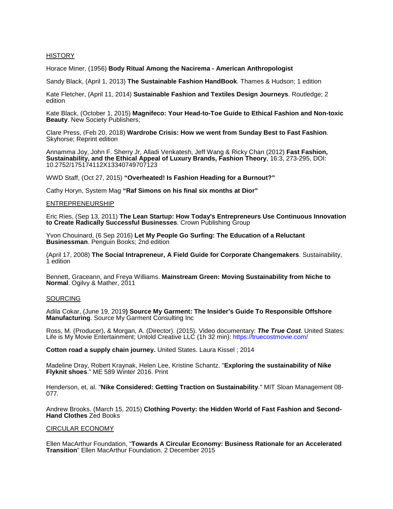#### **HISTORY**

Horace Miner, (1956) **Body Ritual Among the Nacirema - American Anthropologist**

Sandy Black, (April 1, 2013) **The Sustainable Fashion HandBook**. Thames & Hudson; 1 edition

Kate Fletcher, (April 11, 2014) **Sustainable Fashion and Textiles Design Journeys**. Routledge; 2 edition

Kate Black, (October 1, 2015) **Magnifeco: Your Head-to-Toe Guide to Ethical Fashion and Non-toxic Beauty**. New Society Publishers;

Clare Press, (Feb 20, 2018) **Wardrobe Crisis: How we went from Sunday Best to Fast Fashion**. Skyhorse; Reprint edition

Annamma Joy, John F. Sherry Jr, Alladi Venkatesh, Jeff Wang & Ricky Chan (2012) **Fast Fashion, Sustainability, and the Ethical Appeal of Luxury Brands, Fashion Theory**, 16:3, 273-295, DOI: 10.2752/175174112X13340749707123

WWD Staff, (Oct 27, 2015) **"Overheated! Is Fashion Heading for a Burnout?"**

Cathy Horyn, System Mag **"Raf Simons on his final six months at Dior"**

#### ENTREPRENEURSHIP

Eric Ries, (Sep 13, 2011) **The Lean Startup: How Today's Entrepreneurs Use Continuous Innovation to Create Radically Successful Businesses**. Crown Publishing Group

Yvon Chouinard, (6 Sep 2016) **Let My People Go Surfing: The Education of a Reluctant Businessman**. Penguin Books; 2nd edition

(April 17, 2008) **The Social Intrapreneur, A Field Guide for Corporate Changemakers**. Sustainability, 1 edition

Bennett, Graceann, and Freya Williams. **Mainstream Green: Moving Sustainability from Niche to Normal**. Ogilvy & Mather, 2011

#### SOURCING

Adila Cokar, (June 19, 2019**) Source My Garment: The Insider's Guide To Responsible Offshore Manufacturing**. Source My Garment Consulting Inc

Ross, M. (Producer), & Morgan, A. (Director). (2015). Video documentary: *The True Cost*. United States: Life is My Movie Entertainment; Untold Creative LLC (1h 32 min): https://truecostmovie.com/

**Cotton road a supply chain journey.** United States. Laura Kissel ; 2014

Madeline Dray, Robert Kraynak, Helen Lee, Kristine Schantz. "**Exploring the sustainability of Nike Flyknit shoes**." ME 589 Winter 2016. Print

Henderson, et, al. "**Nike Considered: Getting Traction on Sustainability**." MIT Sloan Management 08- 077.

Andrew Brooks. (March 15, 2015) **Clothing Poverty: the Hidden World of Fast Fashion and Second-Hand Clothes** Zed Books

#### CIRCULAR ECONOMY

Ellen MacArthur Foundation, "**Towards A Circular Economy: Business Rationale for an Accelerated Transition**" Ellen MacArthur Foundation. 2 December 2015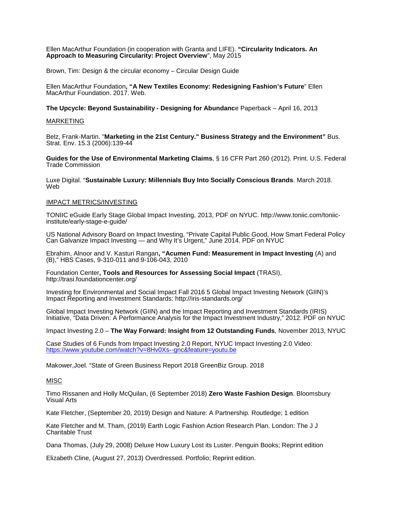#### Ellen MacArthur Foundation (in cooperation with Granta and LIFE). **"Circularity Indicators. An Approach to Measuring Circularity: Project Overview**", May 2015

Brown, Tim: Design & the circular economy – Circular Design Guide

Ellen MacArthur Foundation**, "A New Textiles Economy: Redesigning Fashion's Future**" Ellen MacArthur Foundation. 2017. Web.

**The Upcycle: Beyond Sustainability - Designing for Abundanc**e Paperback – April 16, 2013

#### MARKETING

Belz, Frank-Martin. "**Marketing in the 21st Century." Business Strategy and the Environment"** Bus. Strat. Env. 15.3 (2006):139-44

**Guides for the Use of Environmental Marketing Claims**, § 16 CFR Part 260 (2012). Print. U.S. Federal Trade Commission

Luxe Digital. "**Sustainable Luxury: Millennials Buy Into Socially Conscious Brands**. March 2018. Web

#### IMPACT METRICS/INVESTING

TONIIC eGuide Early Stage Global Impact Investing, 2013, PDF on NYUC. [http://www.toniic.com/toniic](http://www.toniic.com/toniic-institute/early-stage-e-guide/)[institute/early-stage-e-guide/](http://www.toniic.com/toniic-institute/early-stage-e-guide/)

US National Advisory Board on Impact Investing, "Private Capital Public Good, How Smart Federal Policy Can Galvanize Impact Investing — and Why It's Urgent," June 2014. PDF on NYUC

Ebrahim, Alnoor and V. Kasturi Rangan**, "Acumen Fund: Measurement in Impact Investing** (A) and (B)," HBS Cases, 9-310-011 and 9-106-043, 2010

Foundation Center**, Tools and Resources for Assessing Social Impact** (TRASI), <http://trasi.foundationcenter.org/>

Investing for Environmental and Social Impact Fall 2016 5 Global Impact Investing Network (GIIN)'s Impact Reporting and Investment Standards:<http://iris-standards.org/>

Global Impact Investing Network (GIIN) and the Impact Reporting and Investment Standards (IRIS) Initiative, "Data Driven: A Performance Analysis for the Impact Investment Industry," 2012. PDF on NYUC

Impact Investing 2.0 – **The Way Forward: Insight from 12 Outstanding Funds**, November 2013, NYUC

Case Studies of 6 Funds from Impact Investing 2.0 Report, NYUC Impact Investing 2.0 Video: <https://www.youtube.com/watch?v=8Hv0Xs--gnc&feature=youtu.be>

Makower,Joel. "State of Green Business Report 2018 GreenBiz Group. 2018

#### MISC

Timo Rissanen and Holly McQuilan, (6 September 2018) **Zero Waste Fashion Design**. Bloomsbury Visual Arts

Kate Fletcher, (September 20, 2019) Design and Nature: A Partnership. Routledge; 1 edition

Kate Fletcher and M. Tham, (2019) Earth Logic Fashion Action Research Plan. London: The J J Charitable Trust

Dana Thomas, (July 29, 2008) Deluxe How Luxury Lost its Luster. Penguin Books; Reprint edition

Elizabeth Cline, (August 27, 2013) Overdressed. Portfolio; Reprint edition.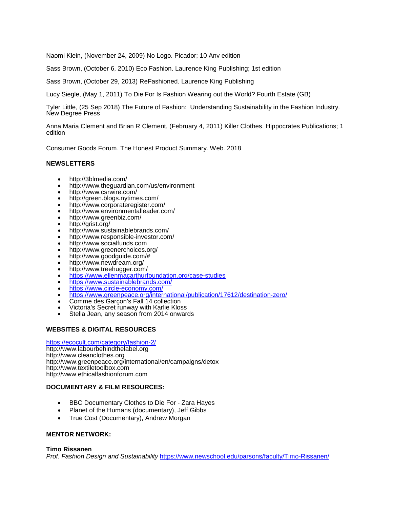Naomi Klein, (November 24, 2009) No Logo. Picador; 10 Anv edition

Sass Brown, (October 6, 2010) Eco Fashion. Laurence King Publishing; 1st edition

Sass Brown, (October 29, 2013) ReFashioned. Laurence King Publishing

Lucy Siegle, (May 1, 2011) To Die For Is Fashion Wearing out the World? Fourth Estate (GB)

Tyler Little, (25 Sep 2018) The Future of Fashion: Understanding Sustainability in the Fashion Industry. New Degree Press

Anna Maria Clement and Brian R Clement, (February 4, 2011) Killer Clothes. Hippocrates Publications; 1 edition

Consumer Goods Forum. The Honest Product Summary. Web. 2018

### **NEWSLETTERS**

- http://3blmedia.com/
- http://www.theguardian.com/us/environment
- http://www.csrwire.com/
- 
- http://green.blogs.nytimes.com/<br>http://www.corporateregister.com/
- http://www.environmentalleader.com/
- http://www.greenbiz.com/<br>• http://grist.org/
- http://grist.org/
- http://www.sustainablebrands.com/
- http://www.responsible-investor.com/<br>http://www.socialfunds.com
- 
- http://www.greenerchoices.org/
- http://www.goodguide.com/#
- http://www.newdream.org/<br>http://www.treehugger.com/
- 
- <https://www.ellenmacarthurfoundation.org/case-studies>
- <https://www.sustainablebrands.com/>
- <https://www.circle-economy.com/>
- <https://www.greenpeace.org/international/publication/17612/destination-zero/><br>Comme des Garçon's Fall 14 collection
- 
- Comme des Garçon's Fall 14 collection Victoria's Secret runway with Karlie Kloss Stella Jean, any season from 2014 onwards
- 

### **WEBSITES & DIGITAL RESOURCES**

#### <https://ecocult.com/category/fashion-2/>

http://www.labourbehindthelabel.org http://www.cleanclothes.org http://www.greenpeace.org/international/en/campaigns/detox http://www.textiletoolbox.com http://www.ethicalfashionforum.com

### **DOCUMENTARY & FILM RESOURCES:**

- BBC Documentary Clothes to Die For Zara Hayes
- Planet of the Humans (documentary), Jeff Gibbs
- True Cost (Documentary), Andrew Morgan

### **MENTOR NETWORK:**

### **Timo Rissanen**

*Prof. Fashion Design and Sustainability* <https://www.newschool.edu/parsons/faculty/Timo-Rissanen/>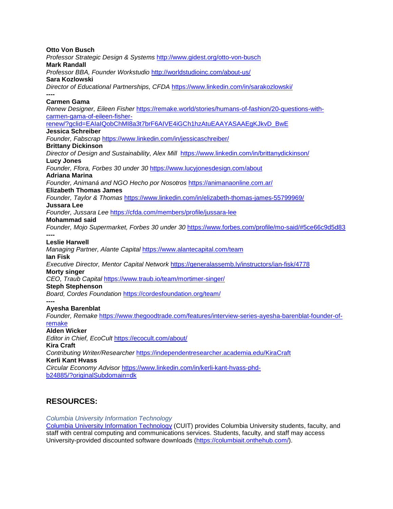**Otto Von Busch** *Professor Strategic Design & Systems* <http://www.gidest.org/otto-von-busch> **Mark Randall** *Professor BBA, Founder Workstudio* <http://worldstudioinc.com/about-us/> **Sara Kozlowski** *Director of Educational Partnerships, CFDA* <https://www.linkedin.com/in/sarakozlowski/> **---- Carmen Gama** *Renew Designer, Eileen Fisher* [https://remake.world/stories/humans-of-fashion/20-questions-with](https://remake.world/stories/humans-of-fashion/20-questions-with-carmen-gama-of-eileen-fisher-renew/?gclid=EAIaIQobChMI8a3t7brF6AIVE4iGCh1hzAtuEAAYASAAEgKJkvD_BwE)[carmen-gama-of-eileen-fisher](https://remake.world/stories/humans-of-fashion/20-questions-with-carmen-gama-of-eileen-fisher-renew/?gclid=EAIaIQobChMI8a3t7brF6AIVE4iGCh1hzAtuEAAYASAAEgKJkvD_BwE)[renew/?gclid=EAIaIQobChMI8a3t7brF6AIVE4iGCh1hzAtuEAAYASAAEgKJkvD\\_BwE](https://remake.world/stories/humans-of-fashion/20-questions-with-carmen-gama-of-eileen-fisher-renew/?gclid=EAIaIQobChMI8a3t7brF6AIVE4iGCh1hzAtuEAAYASAAEgKJkvD_BwE) **Jessica Schreiber**  *Founder, Fabscrap* <https://www.linkedin.com/in/jessicaschreiber/> **Brittany Dickinson** *Director of Design and Sustainability, Alex Mill*<https://www.linkedin.com/in/brittanydickinson/> **Lucy Jones** *Founder, Ffora, Forbes 30 under 30* <https://www.lucyjonesdesign.com/about> **Adriana Marina** *Founder, Animaná and NGO Hecho por Nosotros* <https://animanaonline.com.ar/> **Elizabeth Thomas James** *Founder, Taylor & Thomas* <https://www.linkedin.com/in/elizabeth-thomas-james-55799969/> **Jussara Lee**  *Founder, Jussara Lee* <https://cfda.com/members/profile/jussara-lee> **Mohammad said** *Founder, Mojo Supermarket, Forbes 30 under 30* <https://www.forbes.com/profile/mo-said/#5ce66c9d5d83> **---- Leslie Harwell** *Managing Partner, Alante Capital* <https://www.alantecapital.com/team> **Ian Fisk** *Executive Director, Mentor Capital Network* <https://generalassemb.ly/instructors/ian-fisk/4778> **Morty singer** *CEO, Traub Capital* <https://www.traub.io/team/mortimer-singer/> **Steph Stephenson**  *Board, Cordes Foundation* <https://cordesfoundation.org/team/> **---- Ayesha Barenblat** *Founder, Remake* [https://www.thegoodtrade.com/features/interview-series-ayesha-barenblat-founder-of](https://www.thegoodtrade.com/features/interview-series-ayesha-barenblat-founder-of-remake)[remake](https://www.thegoodtrade.com/features/interview-series-ayesha-barenblat-founder-of-remake) **Alden Wicker** *Editor in Chief, EcoCult* <https://ecocult.com/about/> **Kira Craft** *Contributing Writer/Researcher* <https://independentresearcher.academia.edu/KiraCraft> **Kerli Kant Hvass** *Circular Economy Advisor* [https://www.linkedin.com/in/kerli-kant-hvass-phd](https://www.linkedin.com/in/kerli-kant-hvass-phd-b24885/?originalSubdomain=dk)[b24885/?originalSubdomain=dk](https://www.linkedin.com/in/kerli-kant-hvass-phd-b24885/?originalSubdomain=dk)

# **RESOURCES:**

*Columbia University Information Technology*

[Columbia University Information Technology](https://cuit.columbia.edu/) (CUIT) provides Columbia University students, faculty, and staff with central computing and communications services. Students, faculty, and staff may access University-provided discounted software downloads [\(https://columbiait.onthehub.com/\)](https://columbiait.onthehub.com/).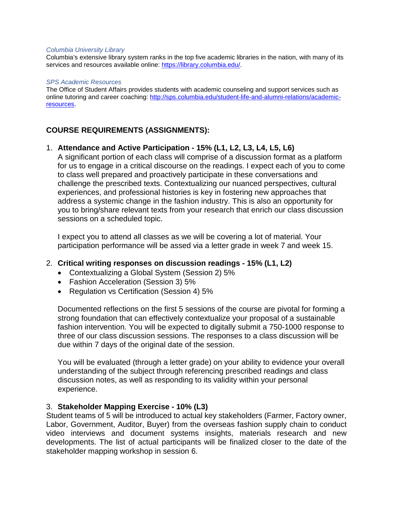### *Columbia University Library*

Columbia's extensive library system ranks in the top five academic libraries in the nation, with many of its services and resources available online: [https://library.columbia.edu/.](https://library.columbia.edu/)

### *SPS Academic Resources*

The Office of Student Affairs provides students with academic counseling and support services such as online tutoring and career coaching: [http://sps.columbia.edu/student-life-and-alumni-relations/academic](http://sps.columbia.edu/student-life-and-alumni-relations/academic-resources)[resources.](http://sps.columbia.edu/student-life-and-alumni-relations/academic-resources)

# **COURSE REQUIREMENTS (ASSIGNMENTS):**

# 1. **Attendance and Active Participation - 15% (L1, L2, L3, L4, L5, L6)**

A significant portion of each class will comprise of a discussion format as a platform for us to engage in a critical discourse on the readings. I expect each of you to come to class well prepared and proactively participate in these conversations and challenge the prescribed texts. Contextualizing our nuanced perspectives, cultural experiences, and professional histories is key in fostering new approaches that address a systemic change in the fashion industry. This is also an opportunity for you to bring/share relevant texts from your research that enrich our class discussion sessions on a scheduled topic.

I expect you to attend all classes as we will be covering a lot of material. Your participation performance will be assed via a letter grade in week 7 and week 15.

# 2. **Critical writing responses on discussion readings - 15% (L1, L2)**

- Contextualizing a Global System (Session 2) 5%
- Fashion Acceleration (Session 3) 5%
- Regulation vs Certification (Session 4) 5%

Documented reflections on the first 5 sessions of the course are pivotal for forming a strong foundation that can effectively contextualize your proposal of a sustainable fashion intervention. You will be expected to digitally submit a 750-1000 response to three of our class discussion sessions. The responses to a class discussion will be due within 7 days of the original date of the session.

You will be evaluated (through a letter grade) on your ability to evidence your overall understanding of the subject through referencing prescribed readings and class discussion notes, as well as responding to its validity within your personal experience.

# 3. **Stakeholder Mapping Exercise - 10% (L3)**

Student teams of 5 will be introduced to actual key stakeholders (Farmer, Factory owner, Labor, Government, Auditor, Buyer) from the overseas fashion supply chain to conduct video interviews and document systems insights, materials research and new developments. The list of actual participants will be finalized closer to the date of the stakeholder mapping workshop in session 6.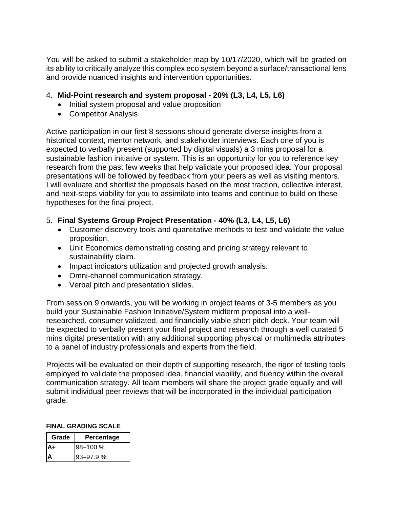You will be asked to submit a stakeholder map by 10/17/2020, which will be graded on its ability to critically analyze this complex eco system beyond a surface/transactional lens and provide nuanced insights and intervention opportunities.

# 4. **Mid-Point research and system proposal - 20% (L3, L4, L5, L6)**

- Initial system proposal and value proposition
- Competitor Analysis

Active participation in our first 8 sessions should generate diverse insights from a historical context, mentor network, and stakeholder interviews. Each one of you is expected to verbally present (supported by digital visuals) a 3 mins proposal for a sustainable fashion initiative or system. This is an opportunity for you to reference key research from the past few weeks that help validate your proposed idea. Your proposal presentations will be followed by feedback from your peers as well as visiting mentors. I will evaluate and shortlist the proposals based on the most traction, collective interest, and next-steps viability for you to assimilate into teams and continue to build on these hypotheses for the final project.

# 5. **Final Systems Group Project Presentation - 40% (L3, L4, L5, L6)**

- Customer discovery tools and quantitative methods to test and validate the value proposition.
- Unit Economics demonstrating costing and pricing strategy relevant to sustainability claim.
- Impact indicators utilization and projected growth analysis.
- Omni-channel communication strategy.
- Verbal pitch and presentation slides.

From session 9 onwards, you will be working in project teams of 3-5 members as you build your Sustainable Fashion Initiative/System midterm proposal into a wellresearched, consumer validated, and financially viable short pitch deck. Your team will be expected to verbally present your final project and research through a well curated 5 mins digital presentation with any additional supporting physical or multimedia attributes to a panel of industry professionals and experts from the field.

Projects will be evaluated on their depth of supporting research, the rigor of testing tools employed to validate the proposed idea, financial viability, and fluency within the overall communication strategy. All team members will share the project grade equally and will submit individual peer reviews that will be incorporated in the individual participation grade.

# **FINAL GRADING SCALE**

| Grade | Percentage    |
|-------|---------------|
|       | l98–100 %     |
|       | $93 - 97.9$ % |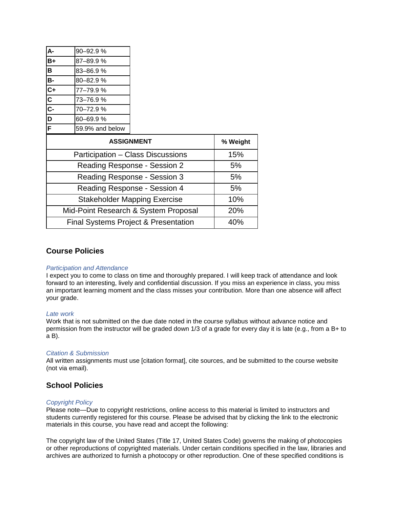| lA-                     | 90-92.9%        |
|-------------------------|-----------------|
| B+                      | 87-89.9%        |
| $\overline{\mathsf{B}}$ | 83-86.9%        |
| <b>B-</b>               | 80-82.9%        |
| $\overline{c}$ +        | 77-79.9%        |
| $\overline{\mathbf{c}}$ | 73-76.9%        |
| $\overline{c}$ -        | 70-72.9%        |
| b                       | 60-69.9%        |
| Ê.                      | 59.9% and below |

| <b>ASSIGNMENT</b>                    | % Weight |
|--------------------------------------|----------|
| Participation - Class Discussions    | 15%      |
| Reading Response - Session 2         | 5%       |
| Reading Response - Session 3         | 5%       |
| Reading Response - Session 4         | 5%       |
| <b>Stakeholder Mapping Exercise</b>  | 10%      |
| Mid-Point Research & System Proposal | 20%      |
| Final Systems Project & Presentation | 40%      |

### **Course Policies**

#### *Participation and Attendance*

I expect you to come to class on time and thoroughly prepared. I will keep track of attendance and look forward to an interesting, lively and confidential discussion. If you miss an experience in class, you miss an important learning moment and the class misses your contribution. More than one absence will affect your grade.

#### *Late work*

Work that is not submitted on the due date noted in the course syllabus without advance notice and permission from the instructor will be graded down 1/3 of a grade for every day it is late (e.g., from a B+ to a B).

#### *Citation & Submission*

All written assignments must use [citation format], cite sources, and be submitted to the course website (not via email).

# **School Policies**

### *Copyright Policy*

Please note—Due to copyright restrictions, online access to this material is limited to instructors and students currently registered for this course. Please be advised that by clicking the link to the electronic materials in this course, you have read and accept the following:

The copyright law of the United States (Title 17, United States Code) governs the making of photocopies or other reproductions of copyrighted materials. Under certain conditions specified in the law, libraries and archives are authorized to furnish a photocopy or other reproduction. One of these specified conditions is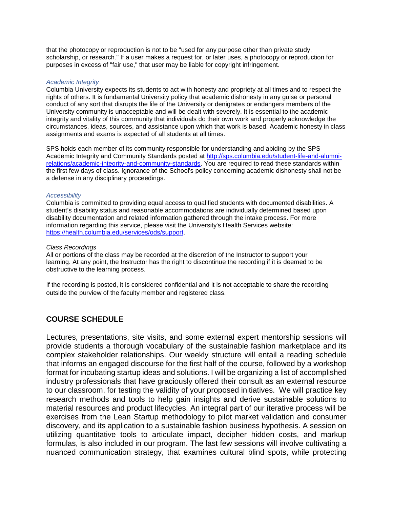that the photocopy or reproduction is not to be "used for any purpose other than private study, scholarship, or research." If a user makes a request for, or later uses, a photocopy or reproduction for purposes in excess of "fair use," that user may be liable for copyright infringement.

### *Academic Integrity*

Columbia University expects its students to act with honesty and propriety at all times and to respect the rights of others. It is fundamental University policy that academic dishonesty in any guise or personal conduct of any sort that disrupts the life of the University or denigrates or endangers members of the University community is unacceptable and will be dealt with severely. It is essential to the academic integrity and vitality of this community that individuals do their own work and properly acknowledge the circumstances, ideas, sources, and assistance upon which that work is based. Academic honesty in class assignments and exams is expected of all students at all times.

SPS holds each member of its community responsible for understanding and abiding by the SPS Academic Integrity and Community Standards posted at [http://sps.columbia.edu/student-life-and-alumni](http://sps.columbia.edu/student-life-and-alumni-relations/academic-integrity-and-community-standards)[relations/academic-integrity-and-community-standards.](http://sps.columbia.edu/student-life-and-alumni-relations/academic-integrity-and-community-standards) You are required to read these standards within the first few days of class. Ignorance of the School's policy concerning academic dishonesty shall not be a defense in any disciplinary proceedings.

### *Accessibility*

Columbia is committed to providing equal access to qualified students with documented disabilities. A student's disability status and reasonable accommodations are individually determined based upon disability documentation and related information gathered through the intake process. For more information regarding this service, please visit the University's Health Services website: [https://health.columbia.edu/services/ods/support.](https://health.columbia.edu/services/ods/support)

### *Class Recordings*

All or portions of the class may be recorded at the discretion of the Instructor to support your learning. At any point, the Instructor has the right to discontinue the recording if it is deemed to be obstructive to the learning process.

If the recording is posted, it is considered confidential and it is not acceptable to share the recording outside the purview of the faculty member and registered class.

# **COURSE SCHEDULE**

Lectures, presentations, site visits, and some external expert mentorship sessions will provide students a thorough vocabulary of the sustainable fashion marketplace and its complex stakeholder relationships. Our weekly structure will entail a reading schedule that informs an engaged discourse for the first half of the course, followed by a workshop format for incubating startup ideas and solutions. I will be organizing a list of accomplished industry professionals that have graciously offered their consult as an external resource to our classroom, for testing the validity of your proposed initiatives. We will practice key research methods and tools to help gain insights and derive sustainable solutions to material resources and product lifecycles. An integral part of our iterative process will be exercises from the Lean Startup methodology to pilot market validation and consumer discovery, and its application to a sustainable fashion business hypothesis. A session on utilizing quantitative tools to articulate impact, decipher hidden costs, and markup formulas, is also included in our program. The last few sessions will involve cultivating a nuanced communication strategy, that examines cultural blind spots, while protecting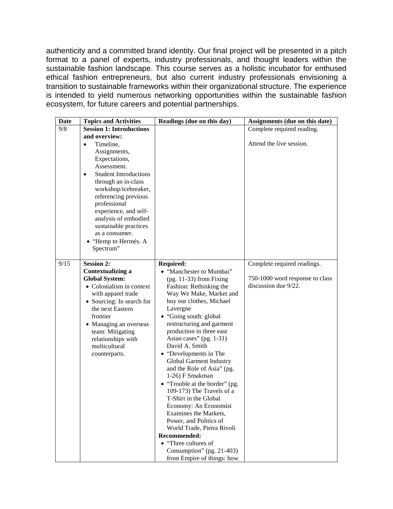authenticity and a committed brand identity. Our final project will be presented in a pitch format to a panel of experts, industry professionals, and thought leaders within the sustainable fashion landscape. This course serves as a holistic incubator for enthused ethical fashion entrepreneurs, but also current industry professionals envisioning a transition to sustainable frameworks within their organizational structure. The experience is intended to yield numerous networking opportunities within the sustainable fashion ecosystem, for future careers and potential partnerships.

| <b>Date</b> | <b>Topics and Activities</b>                                     | Readings (due on this day)                          | Assignments (due on this date)  |
|-------------|------------------------------------------------------------------|-----------------------------------------------------|---------------------------------|
| 9/8         | <b>Session 1: Introductions</b>                                  |                                                     | Complete required reading.      |
|             | and overview:                                                    |                                                     |                                 |
|             | Timeline,<br>$\bullet$                                           |                                                     | Attend the live session.        |
|             | Assignments,                                                     |                                                     |                                 |
|             | Expectations,                                                    |                                                     |                                 |
|             | Assessment.                                                      |                                                     |                                 |
|             | <b>Student Introductions</b><br>$\bullet$<br>through an in-class |                                                     |                                 |
|             | workshop/icebreaker,                                             |                                                     |                                 |
|             | referencing previous                                             |                                                     |                                 |
|             | professional                                                     |                                                     |                                 |
|             | experience, and self-                                            |                                                     |                                 |
|             | analysis of embodied                                             |                                                     |                                 |
|             | sustainable practices                                            |                                                     |                                 |
|             | as a consumer.                                                   |                                                     |                                 |
|             | • "Hemp to Hermés. A                                             |                                                     |                                 |
|             | Spectrum"                                                        |                                                     |                                 |
| 9/15        | <b>Session 2:</b>                                                | <b>Required:</b>                                    | Complete required readings.     |
|             | <b>Contextualizing a</b>                                         | • "Manchester to Mumbai"                            |                                 |
|             | <b>Global System:</b>                                            | $(pg. 11-33)$ from Fixing                           | 750-1000 word response to class |
|             | • Colonialism in context                                         | Fashion: Rethinking the                             | discussion due 9/22.            |
|             | with apparel trade                                               | Way We Make, Market and                             |                                 |
|             | $\bullet$ Sourcing: In search for                                | buy our clothes, Michael                            |                                 |
|             | the next Eastern                                                 | Lavergne                                            |                                 |
|             | frontier                                                         | • "Going south: global                              |                                 |
|             | • Managing an overseas                                           | restructuring and garment                           |                                 |
|             | team: Mitigating                                                 | production in three east<br>Asian cases" (pg. 1-31) |                                 |
|             | relationships with<br>multicultural                              | David A. Smith                                      |                                 |
|             | counterparts.                                                    | • "Developments in The                              |                                 |
|             |                                                                  | Global Garment Industry                             |                                 |
|             |                                                                  | and the Role of Asia" (pg.                          |                                 |
|             |                                                                  | 1-26) F Smakman                                     |                                 |
|             |                                                                  | • "Trouble at the border" (pg.                      |                                 |
|             |                                                                  | 109-173) The Travels of a                           |                                 |
|             |                                                                  | T-Shirt in the Global                               |                                 |
|             |                                                                  | Economy: An Economist                               |                                 |
|             |                                                                  | Examines the Markets,<br>Power, and Politics of     |                                 |
|             |                                                                  | World Trade, Pietra Rivoli                          |                                 |
|             |                                                                  | Recommended:                                        |                                 |
|             |                                                                  | • "Three cultures of                                |                                 |
|             |                                                                  | Consumption" $(pg. 21-403)$                         |                                 |
|             |                                                                  | from Empire of things: how                          |                                 |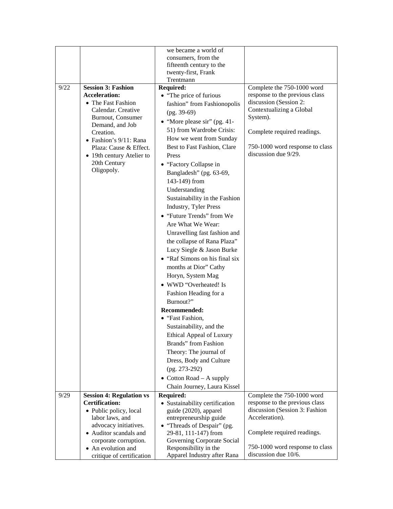|      |                                             | we became a world of                               |                                 |
|------|---------------------------------------------|----------------------------------------------------|---------------------------------|
|      |                                             | consumers, from the                                |                                 |
|      |                                             | fifteenth century to the                           |                                 |
|      |                                             | twenty-first, Frank<br>Trentmann                   |                                 |
| 9/22 | <b>Session 3: Fashion</b>                   | <b>Required:</b>                                   | Complete the 750-1000 word      |
|      | <b>Acceleration:</b>                        | • "The price of furious                            | response to the previous class  |
|      | • The Fast Fashion                          | fashion" from Fashionopolis                        | discussion (Session 2:          |
|      | Calendar. Creative                          | $(pg. 39-69)$                                      | Contextualizing a Global        |
|      | Burnout, Consumer                           | • "More please sir" (pg. 41-                       | System).                        |
|      | Demand, and Job                             | 51) from Wardrobe Crisis:                          |                                 |
|      | Creation.<br>• Fashion's 9/11: Rana         | How we went from Sunday                            | Complete required readings.     |
|      | Plaza: Cause & Effect.                      | Best to Fast Fashion, Clare                        | 750-1000 word response to class |
|      | • 19th century Atelier to                   | Press                                              | discussion due 9/29.            |
|      | 20th Century                                | • "Factory Collapse in                             |                                 |
|      | Oligopoly.                                  | Bangladesh" (pg. 63-69,                            |                                 |
|      |                                             | 143-149) from                                      |                                 |
|      |                                             | Understanding                                      |                                 |
|      |                                             | Sustainability in the Fashion                      |                                 |
|      |                                             | <b>Industry, Tyler Press</b>                       |                                 |
|      |                                             | • "Future Trends" from We                          |                                 |
|      |                                             | Are What We Wear:                                  |                                 |
|      |                                             | Unravelling fast fashion and                       |                                 |
|      |                                             | the collapse of Rana Plaza"                        |                                 |
|      |                                             | Lucy Siegle & Jason Burke                          |                                 |
|      |                                             | • "Raf Simons on his final six                     |                                 |
|      |                                             | months at Dior" Cathy                              |                                 |
|      |                                             | Horyn, System Mag                                  |                                 |
|      |                                             | • WWD "Overheated! Is                              |                                 |
|      |                                             | Fashion Heading for a                              |                                 |
|      |                                             | Burnout?"                                          |                                 |
|      |                                             | Recommended:                                       |                                 |
|      |                                             | • "Fast Fashion,                                   |                                 |
|      |                                             | Sustainability, and the                            |                                 |
|      |                                             | <b>Ethical Appeal of Luxury</b>                    |                                 |
|      |                                             | Brands" from Fashion                               |                                 |
|      |                                             | Theory: The journal of                             |                                 |
|      |                                             | Dress, Body and Culture                            |                                 |
|      |                                             | $(pg. 273-292)$                                    |                                 |
|      |                                             | • Cotton Road $-$ A supply                         |                                 |
|      |                                             | Chain Journey, Laura Kissel                        |                                 |
| 9/29 | <b>Session 4: Regulation vs</b>             | <b>Required:</b>                                   | Complete the 750-1000 word      |
|      | <b>Certification:</b>                       | • Sustainability certification                     | response to the previous class  |
|      | • Public policy, local                      | guide (2020), apparel                              | discussion (Session 3: Fashion  |
|      | labor laws, and                             | entrepreneurship guide                             | Acceleration).                  |
|      | advocacy initiatives.                       | • "Threads of Despair" (pg.                        |                                 |
|      | • Auditor scandals and                      | 29-81, 111-147) from<br>Governing Corporate Social | Complete required readings.     |
|      | corporate corruption.<br>• An evolution and | Responsibility in the                              | 750-1000 word response to class |
|      | critique of certification                   | Apparel Industry after Rana                        | discussion due 10/6.            |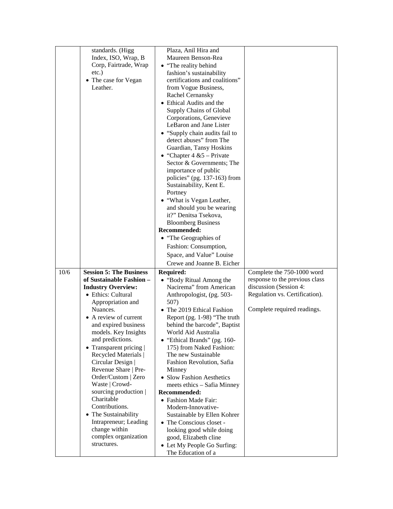|      | standards. (Higg<br>Index, ISO, Wrap, B<br>Corp, Fairtrade, Wrap<br>$etc.$ )<br>• The case for Vegan<br>Leather.                                                                                                                                                                                                                                                                                                                                                                                                                                         | Plaza, Anil Hira and<br>Maureen Benson-Rea<br>• "The reality behind<br>fashion's sustainability<br>certifications and coalitions"<br>from Vogue Business,<br>Rachel Cernansky<br>• Ethical Audits and the<br>Supply Chains of Global<br>Corporations, Genevieve<br>LeBaron and Jane Lister<br>• "Supply chain audits fail to<br>detect abuses" from The<br>Guardian, Tansy Hoskins<br>• "Chapter $4 & 5$ – Private<br>Sector & Governments; The<br>importance of public<br>policies" (pg. 137-163) from<br>Sustainability, Kent E.<br>Portney<br>• "What is Vegan Leather,<br>and should you be wearing<br>it?" Denitsa Tsekova,<br><b>Bloomberg Business</b><br>Recommended:<br>• "The Geographies of<br>Fashion: Consumption,<br>Space, and Value" Louise<br>Crewe and Joanne B. Eicher |                                                                                                                                                         |
|------|----------------------------------------------------------------------------------------------------------------------------------------------------------------------------------------------------------------------------------------------------------------------------------------------------------------------------------------------------------------------------------------------------------------------------------------------------------------------------------------------------------------------------------------------------------|-------------------------------------------------------------------------------------------------------------------------------------------------------------------------------------------------------------------------------------------------------------------------------------------------------------------------------------------------------------------------------------------------------------------------------------------------------------------------------------------------------------------------------------------------------------------------------------------------------------------------------------------------------------------------------------------------------------------------------------------------------------------------------------------|---------------------------------------------------------------------------------------------------------------------------------------------------------|
| 10/6 | <b>Session 5: The Business</b><br>of Sustainable Fashion -<br><b>Industry Overview:</b><br>• Ethics: Cultural<br>Appropriation and<br>Nuances.<br>• A review of current<br>and expired business<br>models. Key Insights<br>and predictions.<br>• Transparent pricing $ $<br>Recycled Materials  <br>Circular Design  <br>Revenue Share   Pre-<br>Order/Custom   Zero<br>Waste   Crowd-<br>sourcing production  <br>Charitable<br>Contributions.<br>• The Sustainability<br>Intrapreneur; Leading<br>change within<br>complex organization<br>structures. | <b>Required:</b><br>• "Body Ritual Among the<br>Nacirema" from American<br>Anthropologist, (pg. 503-<br>507)<br>• The 2019 Ethical Fashion<br>Report (pg. 1-98) "The truth<br>behind the barcode", Baptist<br>World Aid Australia<br>• "Ethical Brands" (pg. 160-<br>175) from Naked Fashion:<br>The new Sustainable<br>Fashion Revolution, Safia<br>Minney<br>• Slow Fashion Aesthetics<br>meets ethics - Safia Minney<br>Recommended:<br>• Fashion Made Fair:<br>Modern-Innovative-<br>Sustainable by Ellen Kohrer<br>• The Conscious closet -<br>looking good while doing<br>good, Elizabeth cline<br>• Let My People Go Surfing:<br>The Education of a                                                                                                                                | Complete the 750-1000 word<br>response to the previous class<br>discussion (Session 4:<br>Regulation vs. Certification).<br>Complete required readings. |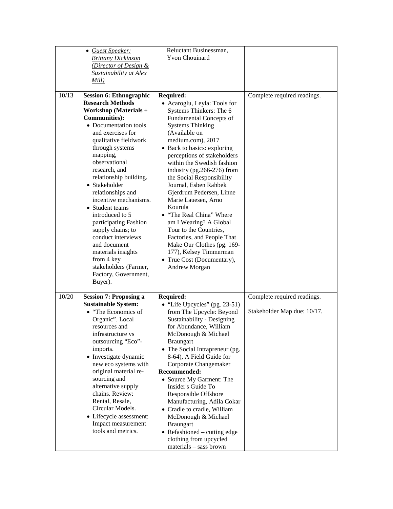|       | • Guest Speaker:<br><b>Brittany Dickinson</b><br>(Director of Design &<br><b>Sustainability at Alex</b><br>Mill)                                                                                                                                                                                                                                                                                                                                                                                                                                                              | Reluctant Businessman,<br><b>Yvon Chouinard</b>                                                                                                                                                                                                                                                                                                                                                                                                                                                                                                                                                                                            |                                                            |
|-------|-------------------------------------------------------------------------------------------------------------------------------------------------------------------------------------------------------------------------------------------------------------------------------------------------------------------------------------------------------------------------------------------------------------------------------------------------------------------------------------------------------------------------------------------------------------------------------|--------------------------------------------------------------------------------------------------------------------------------------------------------------------------------------------------------------------------------------------------------------------------------------------------------------------------------------------------------------------------------------------------------------------------------------------------------------------------------------------------------------------------------------------------------------------------------------------------------------------------------------------|------------------------------------------------------------|
| 10/13 | <b>Session 6: Ethnographic</b><br><b>Research Methods</b><br><b>Workshop</b> (Materials +<br><b>Communities</b> ):<br>• Documentation tools<br>and exercises for<br>qualitative fieldwork<br>through systems<br>mapping,<br>observational<br>research, and<br>relationship building.<br>• Stakeholder<br>relationships and<br>incentive mechanisms.<br>• Student teams<br>introduced to 5<br>participating Fashion<br>supply chains; to<br>conduct interviews<br>and document<br>materials insights<br>from 4 key<br>stakeholders (Farmer,<br>Factory, Government,<br>Buyer). | <b>Required:</b><br>• Acaroglu, Leyla: Tools for<br>Systems Thinkers: The 6<br>Fundamental Concepts of<br><b>Systems Thinking</b><br>(Available on<br>medium.com), 2017<br>• Back to basics: exploring<br>perceptions of stakeholders<br>within the Swedish fashion<br>industry (pg.266-276) from<br>the Social Responsibility<br>Journal, Esben Rahbek<br>Gjerdrum Pedersen, Linne<br>Marie Lauesen, Arno<br>Kourula<br>• "The Real China" Where<br>am I Wearing? A Global<br>Tour to the Countries,<br>Factories, and People That<br>Make Our Clothes (pg. 169-<br>177), Kelsey Timmerman<br>• True Cost (Documentary),<br>Andrew Morgan | Complete required readings.                                |
| 10/20 | <b>Session 7: Proposing a</b><br><b>Sustainable System:</b><br>• "The Economics of<br>Organic". Local<br>resources and<br>infrastructure vs<br>outsourcing "Eco"-<br>imports.<br>• Investigate dynamic<br>new eco systems with<br>original material re-<br>sourcing and<br>alternative supply<br>chains. Review:<br>Rental, Resale,<br>Circular Models.<br>• Lifecycle assessment:<br>Impact measurement<br>tools and metrics.                                                                                                                                                | <b>Required:</b><br>$\bullet$ "Life Upcycles" (pg. 23-51)<br>from The Upcycle: Beyond<br>Sustainability - Designing<br>for Abundance, William<br>McDonough & Michael<br><b>Braungart</b><br>• The Social Intrapreneur (pg.<br>8-64), A Field Guide for<br>Corporate Changemaker<br>Recommended:<br>• Source My Garment: The<br>Insider's Guide To<br>Responsible Offshore<br>Manufacturing, Adila Cokar<br>• Cradle to cradle, William<br>McDonough & Michael<br><b>Braungart</b><br>• Refashioned – cutting edge<br>clothing from upcycled<br>materials - sass brown                                                                      | Complete required readings.<br>Stakeholder Map due: 10/17. |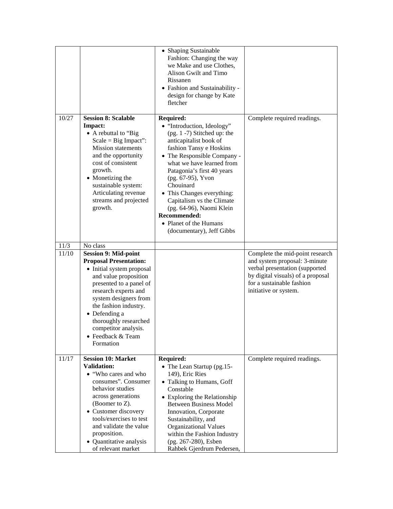|       |                                                                                                                                                                                                                                                                                                                             | • Shaping Sustainable<br>Fashion: Changing the way<br>we Make and use Clothes,<br>Alison Gwilt and Timo<br>Rissanen<br>• Fashion and Sustainability -<br>design for change by Kate<br>fletcher                                                                                                                                                                                                                                  |                                                                                                                                                                                               |
|-------|-----------------------------------------------------------------------------------------------------------------------------------------------------------------------------------------------------------------------------------------------------------------------------------------------------------------------------|---------------------------------------------------------------------------------------------------------------------------------------------------------------------------------------------------------------------------------------------------------------------------------------------------------------------------------------------------------------------------------------------------------------------------------|-----------------------------------------------------------------------------------------------------------------------------------------------------------------------------------------------|
| 10/27 | <b>Session 8: Scalable</b><br>Impact:<br>• A rebuttal to "Big<br>$Scale = Big Impact$ ":<br><b>Mission</b> statements<br>and the opportunity<br>cost of consistent<br>growth.<br>• Monetizing the<br>sustainable system:<br>Articulating revenue<br>streams and projected<br>growth.                                        | <b>Required:</b><br>• "Introduction, Ideology"<br>$(pg. 1 - 7)$ Stitched up: the<br>anticapitalist book of<br>fashion Tansy e Hoskins<br>• The Responsible Company -<br>what we have learned from<br>Patagonia's first 40 years<br>(pg. 67-95), Yvon<br>Chouinard<br>• This Changes everything:<br>Capitalism vs the Climate<br>(pg. 64-96), Naomi Klein<br>Recommended:<br>• Planet of the Humans<br>(documentary), Jeff Gibbs | Complete required readings.                                                                                                                                                                   |
| 11/3  | No class                                                                                                                                                                                                                                                                                                                    |                                                                                                                                                                                                                                                                                                                                                                                                                                 |                                                                                                                                                                                               |
| 11/10 | <b>Session 9: Mid-point</b><br><b>Proposal Presentation:</b><br>• Initial system proposal<br>and value proposition<br>presented to a panel of<br>research experts and<br>system designers from<br>the fashion industry.<br>• Defending a<br>thoroughly researched<br>competitor analysis.<br>• Feedback & Team<br>Formation |                                                                                                                                                                                                                                                                                                                                                                                                                                 | Complete the mid-point research<br>and system proposal: 3-minute<br>verbal presentation (supported<br>by digital visuals) of a proposal<br>for a sustainable fashion<br>initiative or system. |
| 11/17 | <b>Session 10: Market</b><br><b>Validation:</b><br>• "Who cares and who<br>consumes". Consumer<br>behavior studies<br>across generations<br>(Boomer to $Z$ ).<br>• Customer discovery<br>tools/exercises to test<br>and validate the value<br>proposition.<br>• Quantitative analysis<br>of relevant market                 | <b>Required:</b><br>• The Lean Startup (pg.15-<br>149), Eric Ries<br>• Talking to Humans, Goff<br>Constable<br>• Exploring the Relationship<br><b>Between Business Model</b><br>Innovation, Corporate<br>Sustainability, and<br><b>Organizational Values</b><br>within the Fashion Industry<br>(pg. 267-280), Esben<br>Rahbek Gjerdrum Pedersen,                                                                                | Complete required readings.                                                                                                                                                                   |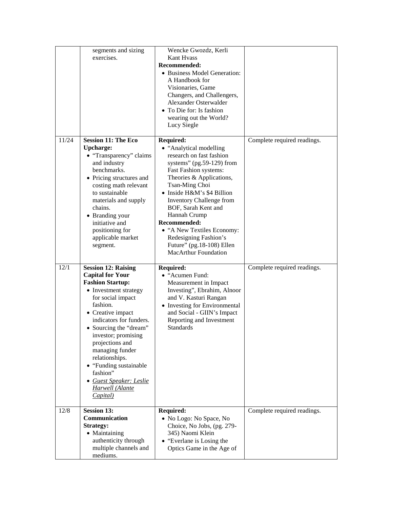|       | segments and sizing<br>exercises.                                                                                                                                                                                                                                                                                                                                                                           | Wencke Gwozdz, Kerli<br>Kant Hvass<br>Recommended:<br>• Business Model Generation:<br>A Handbook for<br>Visionaries, Game<br>Changers, and Challengers,<br>Alexander Osterwalder<br>• To Die for: Is fashion<br>wearing out the World?<br>Lucy Siegle                                                                                                                                                                  |                             |
|-------|-------------------------------------------------------------------------------------------------------------------------------------------------------------------------------------------------------------------------------------------------------------------------------------------------------------------------------------------------------------------------------------------------------------|------------------------------------------------------------------------------------------------------------------------------------------------------------------------------------------------------------------------------------------------------------------------------------------------------------------------------------------------------------------------------------------------------------------------|-----------------------------|
| 11/24 | <b>Session 11: The Eco</b><br><b>Upcharge:</b><br>• "Transparency" claims<br>and industry<br>benchmarks.<br>• Pricing structures and<br>costing math relevant<br>to sustainable<br>materials and supply<br>chains.<br>• Branding your<br>initiative and<br>positioning for<br>applicable market<br>segment.                                                                                                 | <b>Required:</b><br>• "Analytical modelling<br>research on fast fashion<br>systems" (pg.59-129) from<br>Fast Fashion systems:<br>Theories & Applications,<br>Tsan-Ming Choi<br>• Inside H&M's \$4 Billion<br><b>Inventory Challenge from</b><br>BOF, Sarah Kent and<br>Hannah Crump<br>Recommended:<br>• "A New Textiles Economy:<br>Redesigning Fashion's<br>Future" (pg.18-108) Ellen<br><b>MacArthur Foundation</b> | Complete required readings. |
| 12/1  | <b>Session 12: Raising</b><br><b>Capital for Your</b><br><b>Fashion Startup:</b><br>• Investment strategy<br>for social impact<br>fashion.<br>$\bullet$ Creative impact<br>indicators for funders.<br>• Sourcing the "dream"<br>investor; promising<br>projections and<br>managing funder<br>relationships.<br>• "Funding sustainable<br>fashion"<br>• Guest Speaker: Leslie<br>Harwell (Alante<br>Capital) | <b>Required:</b><br>• "Acumen Fund:<br>Measurement in Impact<br>Investing", Ebrahim, Alnoor<br>and V. Kasturi Rangan<br>• Investing for Environmental<br>and Social - GIIN's Impact<br>Reporting and Investment<br><b>Standards</b>                                                                                                                                                                                    | Complete required readings. |
| 12/8  | <b>Session 13:</b><br>Communication<br><b>Strategy:</b><br>• Maintaining<br>authenticity through<br>multiple channels and<br>mediums.                                                                                                                                                                                                                                                                       | <b>Required:</b><br>• No Logo: No Space, No<br>Choice, No Jobs, (pg. 279-<br>345) Naomi Klein<br>• "Everlane is Losing the<br>Optics Game in the Age of                                                                                                                                                                                                                                                                | Complete required readings. |